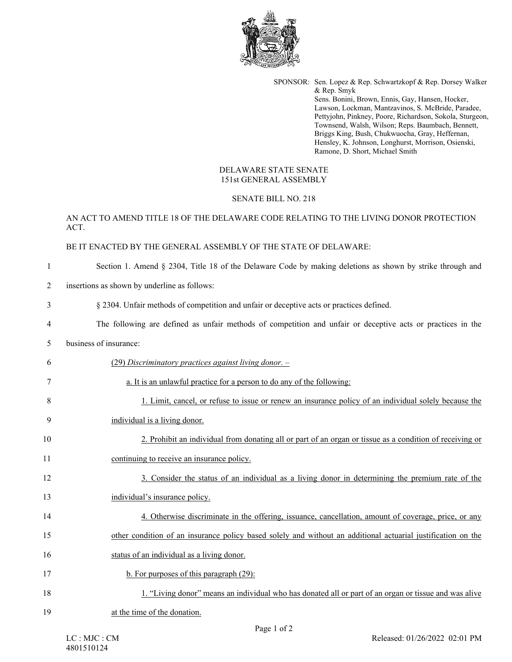

SPONSOR: Sen. Lopez & Rep. Schwartzkopf & Rep. Dorsey Walker & Rep. Smyk Sens. Bonini, Brown, Ennis, Gay, Hansen, Hocker, Lawson, Lockman, Mantzavinos, S. McBride, Paradee, Pettyjohn, Pinkney, Poore, Richardson, Sokola, Sturgeon, Townsend, Walsh, Wilson; Reps. Baumbach, Bennett, Briggs King, Bush, Chukwuocha, Gray, Heffernan, Hensley, K. Johnson, Longhurst, Morrison, Osienski, Ramone, D. Short, Michael Smith

## DELAWARE STATE SENATE 151st GENERAL ASSEMBLY

#### SENATE BILL NO. 218

## AN ACT TO AMEND TITLE 18 OF THE DELAWARE CODE RELATING TO THE LIVING DONOR PROTECTION ACT.

#### BE IT ENACTED BY THE GENERAL ASSEMBLY OF THE STATE OF DELAWARE:

#### 1 Section 1. Amend § 2304, Title 18 of the Delaware Code by making deletions as shown by strike through and

2 insertions as shown by underline as follows:

3 § 2304. Unfair methods of competition and unfair or deceptive acts or practices defined.

4 The following are defined as unfair methods of competition and unfair or deceptive acts or practices in the

## 5 business of insurance:

| 6  | (29) Discriminatory practices against living donor. -                                                        |
|----|--------------------------------------------------------------------------------------------------------------|
| 7  | a. It is an unlawful practice for a person to do any of the following:                                       |
| 8  | 1. Limit, cancel, or refuse to issue or renew an insurance policy of an individual solely because the        |
| 9  | individual is a living donor.                                                                                |
| 10 | 2. Prohibit an individual from donating all or part of an organ or tissue as a condition of receiving or     |
| 11 | continuing to receive an insurance policy.                                                                   |
| 12 | 3. Consider the status of an individual as a living donor in determining the premium rate of the             |
| 13 | individual's insurance policy.                                                                               |
| 14 | 4. Otherwise discriminate in the offering, issuance, cancellation, amount of coverage, price, or any         |
| 15 | other condition of an insurance policy based solely and without an additional actuarial justification on the |
| 16 | status of an individual as a living donor.                                                                   |
| 17 | b. For purposes of this paragraph $(29)$ :                                                                   |
| 18 | 1. "Living donor" means an individual who has donated all or part of an organ or tissue and was alive        |
| 19 | at the time of the donation.                                                                                 |